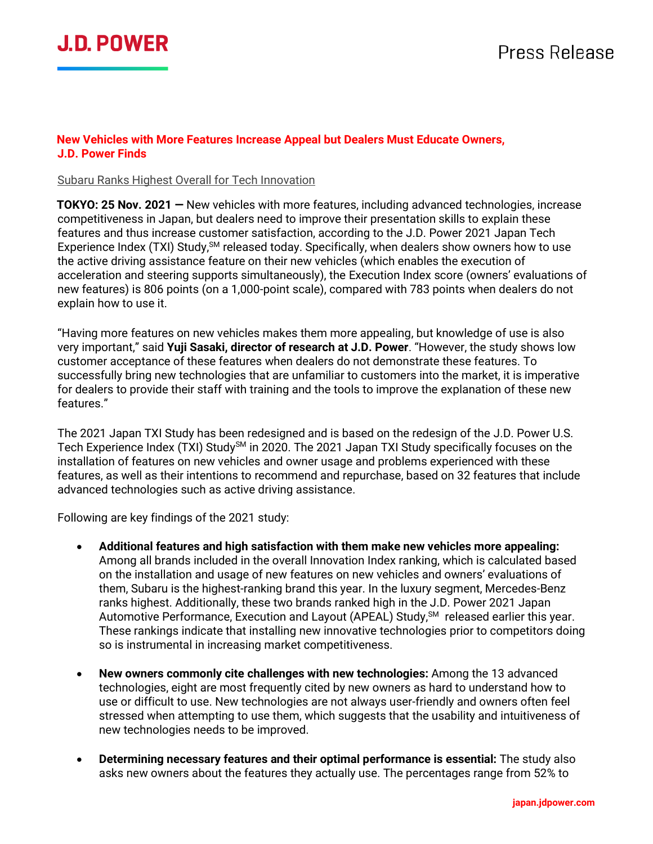

#### **New Vehicles with More Features Increase Appeal but Dealers Must Educate Owners, J.D. Power Finds**

#### Subaru Ranks Highest Overall for Tech Innovation

**TOKYO: 25 Nov. 2021 —** New vehicles with more features, including advanced technologies, increase competitiveness in Japan, but dealers need to improve their presentation skills to explain these features and thus increase customer satisfaction, according to the J.D. Power 2021 Japan Tech Experience Index (TXI) Study, SM released today. Specifically, when dealers show owners how to use the active driving assistance feature on their new vehicles (which enables the execution of acceleration and steering supports simultaneously), the Execution Index score (owners' evaluations of new features) is 806 points (on a 1,000-point scale), compared with 783 points when dealers do not explain how to use it.

"Having more features on new vehicles makes them more appealing, but knowledge of use is also very important," said **Yuji Sasaki, director of research at J.D. Power**. "However, the study shows low customer acceptance of these features when dealers do not demonstrate these features. To successfully bring new technologies that are unfamiliar to customers into the market, it is imperative for dealers to provide their staff with training and the tools to improve the explanation of these new features."

The 2021 Japan TXI Study has been redesigned and is based on the redesign of the J.D. Power U.S. Tech Experience Index (TXI) Study<sup>SM</sup> in 2020. The 2021 Japan TXI Study specifically focuses on the installation of features on new vehicles and owner usage and problems experienced with these features, as well as their intentions to recommend and repurchase, based on 32 features that include advanced technologies such as active driving assistance.

Following are key findings of the 2021 study:

- **Additional features and high satisfaction with them make new vehicles more appealing:** Among all brands included in the overall Innovation Index ranking, which is calculated based on the installation and usage of new features on new vehicles and owners' evaluations of them, Subaru is the highest-ranking brand this year. In the luxury segment, Mercedes-Benz ranks highest. Additionally, these two brands ranked high in the J.D. Power 2021 Japan Automotive Performance, Execution and Layout (APEAL) Study,<sup>SM</sup> released earlier this year. These rankings indicate that installing new innovative technologies prior to competitors doing so is instrumental in increasing market competitiveness.
- **New owners commonly cite challenges with new technologies:** Among the 13 advanced technologies, eight are most frequently cited by new owners as hard to understand how to use or difficult to use. New technologies are not always user-friendly and owners often feel stressed when attempting to use them, which suggests that the usability and intuitiveness of new technologies needs to be improved.
- **Determining necessary features and their optimal performance is essential:** The study also asks new owners about the features they actually use. The percentages range from 52% to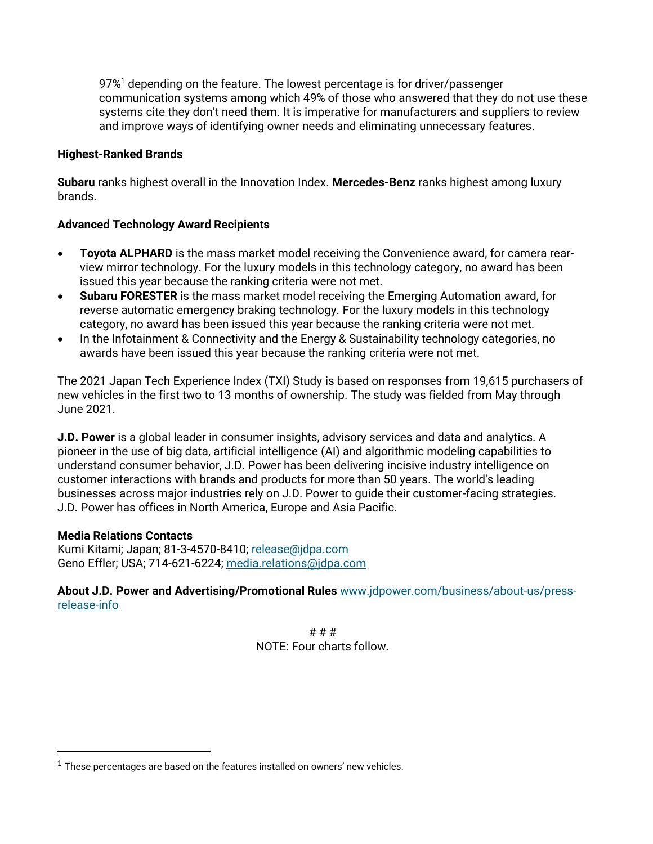97%<sup>1</sup> depending on the feature. The lowest percentage is for driver/passenger communication systems among which 49% of those who answered that they do not use these systems cite they don't need them. It is imperative for manufacturers and suppliers to review and improve ways of identifying owner needs and eliminating unnecessary features.

### **Highest-Ranked Brands**

**Subaru** ranks highest overall in the Innovation Index. **Mercedes-Benz** ranks highest among luxury brands.

### **Advanced Technology Award Recipients**

- **Toyota ALPHARD** is the mass market model receiving the Convenience award, for camera rearview mirror technology. For the luxury models in this technology category, no award has been issued this year because the ranking criteria were not met.
- **Subaru FORESTER** is the mass market model receiving the Emerging Automation award, for reverse automatic emergency braking technology. For the luxury models in this technology category, no award has been issued this year because the ranking criteria were not met.
- In the Infotainment & Connectivity and the Energy & Sustainability technology categories, no awards have been issued this year because the ranking criteria were not met.

The 2021 Japan Tech Experience Index (TXI) Study is based on responses from 19,615 purchasers of new vehicles in the first two to 13 months of ownership. The study was fielded from May through June 2021.

**J.D. Power** is a global leader in consumer insights, advisory services and data and analytics. A pioneer in the use of big data, artificial intelligence (AI) and algorithmic modeling capabilities to understand consumer behavior, J.D. Power has been delivering incisive industry intelligence on customer interactions with brands and products for more than 50 years. The world's leading businesses across major industries rely on J.D. Power to guide their customer-facing strategies. J.D. Power has offices in North America, Europe and Asia Pacific.

### **Media Relations Contacts**

Kumi Kitami; Japan; 81-3-4570-8410; [release@jdpa.com](mailto:release@jdpa.com) Geno Effler; USA; 714-621-6224; [media.relations@jdpa.com](mailto:media.relations@jdpa.com)

**About J.D. Power and Advertising/Promotional Rules** [www.jdpower.com/business/about-us/press](file:///C:/Users/jillian.breska/AppData/Local/Microsoft/Windows/Temporary%20Internet%20Files/Content.Outlook/8BFIEX2I/www.jdpower.com/business/about-us/press-release-info)[release-info](file:///C:/Users/jillian.breska/AppData/Local/Microsoft/Windows/Temporary%20Internet%20Files/Content.Outlook/8BFIEX2I/www.jdpower.com/business/about-us/press-release-info)

> # # # NOTE: Four charts follow.

 $1$  These percentages are based on the features installed on owners' new vehicles.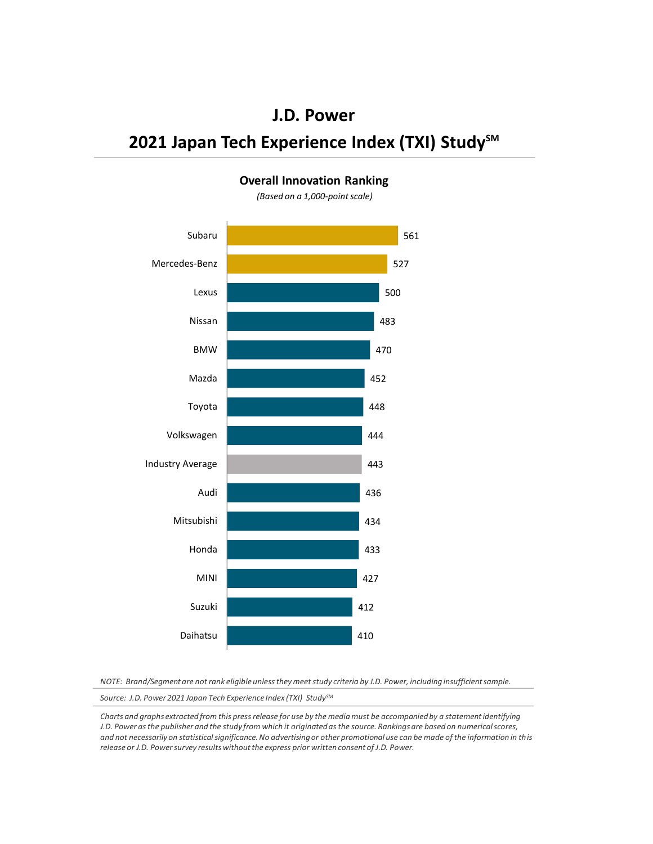# **2021 Japan Tech Experience Index (TXI) Study**<sup>SM</sup>



#### **Overall Innovation Ranking**

*(Based on a 1,000-point scale)*

*NOTE: Brand/Segment are not rank eligible unless they meet study criteria by J.D. Power, including insufficient sample.*

*Source: J.D. Power 2021 Japan Tech Experience Index (TXI) StudySM*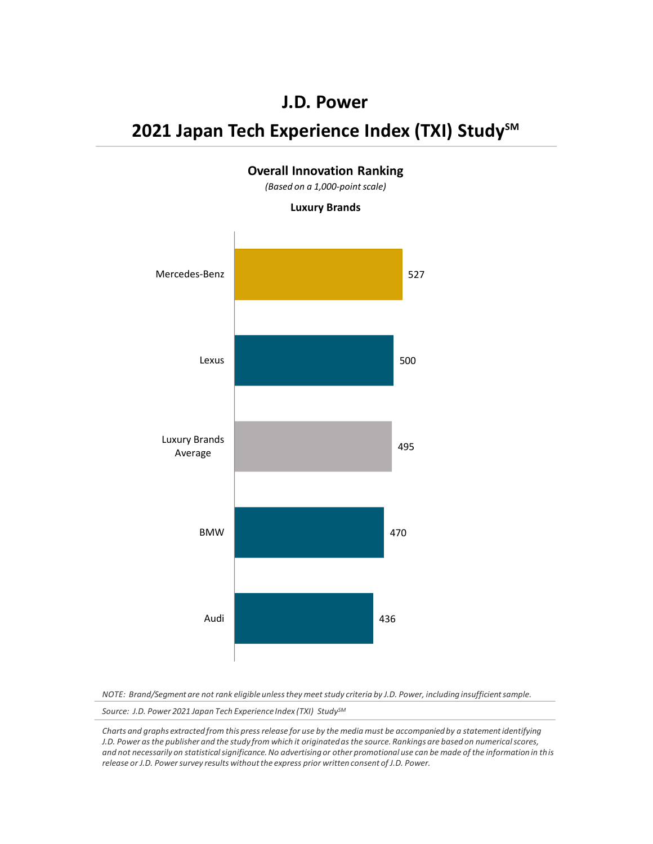### **J.D. Power**

# **2021 Japan Tech Experience Index (TXI) Study**<sup>SM</sup>



*NOTE: Brand/Segment are not rank eligible unless they meet study criteria by J.D. Power, including insufficient sample.*

*Source: J.D. Power 2021 Japan Tech Experience Index (TXI) StudySM*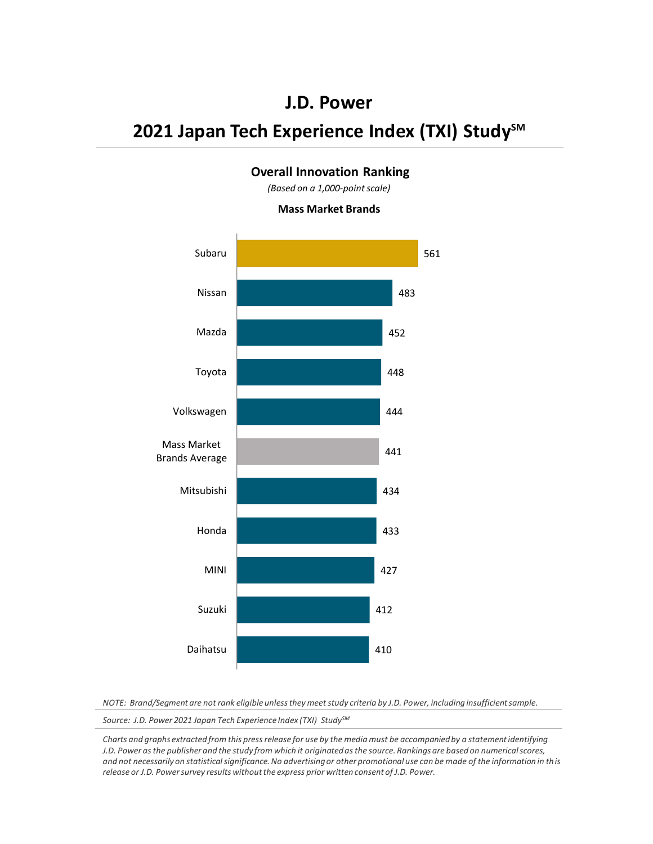## **J.D. Power**

# **2021 Japan Tech Experience Index (TXI) Study<sup>SM</sup>**

### **Overall Innovation Ranking**

*(Based on a 1,000-point scale)*

#### **Mass Market Brands**



*NOTE: Brand/Segment are not rank eligible unless they meet study criteria by J.D. Power, including insufficient sample.*

*Source: J.D. Power 2021 Japan Tech Experience Index (TXI) StudySM*